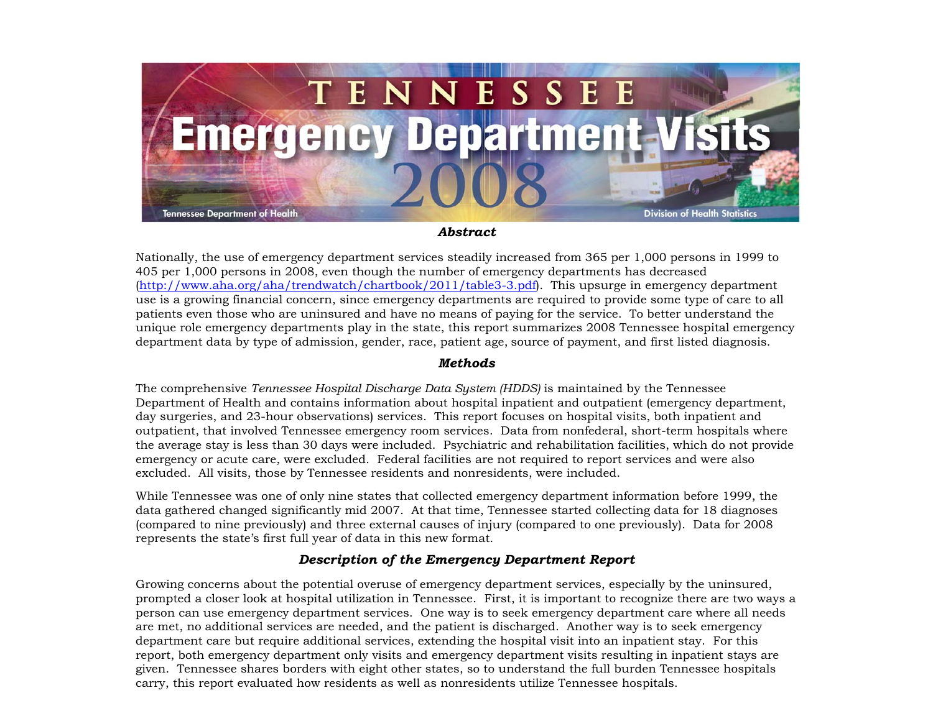

## *Abstract*

Nationally, the use of emergency department services steadily increased from 365 per 1,000 persons in 1999 to 405 per 1,000 persons in 2008, even though the number of emergency departments has decreased (<http://www.aha.org/aha/trendwatch/chartbook/2011/table3-3.pdf>). This upsurge in emergency department use is a growing financial concern, since emergency departments are required to provide some type of care to all patients even those who are uninsured and have no means of paying for the service. To better understand the unique role emergency departments play in the state, this report summarizes 2008 Tennessee hospital emergency department data by type of admission, gender, race, patient age, source of payment, and first listed diagnosis.

## *Methods*

The comprehensive *Tennessee Hospital Discharge Data System (HDDS)* is maintained by the Tennessee Department of Health and contains information about hospital inpatient and outpatient (emergency department, day surgeries, and 23-hour observations) services. This report focuses on hospital visits, both inpatient and outpatient, that involved Tennessee emergency room services. Data from nonfederal, short-term hospitals where the average stay is less than 30 days were included. Psychiatric and rehabilitation facilities, which do not provide emergency or acute care, were excluded. Federal facilities are not required to report services and were also excluded. All visits, those by Tennessee residents and nonresidents, were included.

While Tennessee was one of only nine states that collected emergency department information before 1999, the data gathered changed significantly mid 2007. At that time, Tennessee started collecting data for 18 diagnoses (compared to nine previously) and three external causes of injury (compared to one previously). Data for 2008 represents the state's first full year of data in this new format.

## *Description of the Emergency Department Report*

Growing concerns about the potential overuse of emergency department services, especially by the uninsured, prompted a closer look at hospital utilization in Tennessee. First, it is important to recognize there are two ways a person can use emergency department services. One way is to seek emergency department care where all needs are met, no additional services are needed, and the patient is discharged. Another way is to seek emergency department care but require additional services, extending the hospital visit into an inpatient stay. For this report, both emergency department only visits and emergency department visits resulting in inpatient stays are given. Tennessee shares borders with eight other states, so to understand the full burden Tennessee hospitals carry, this report evaluated how residents as well as nonresidents utilize Tennessee hospitals.